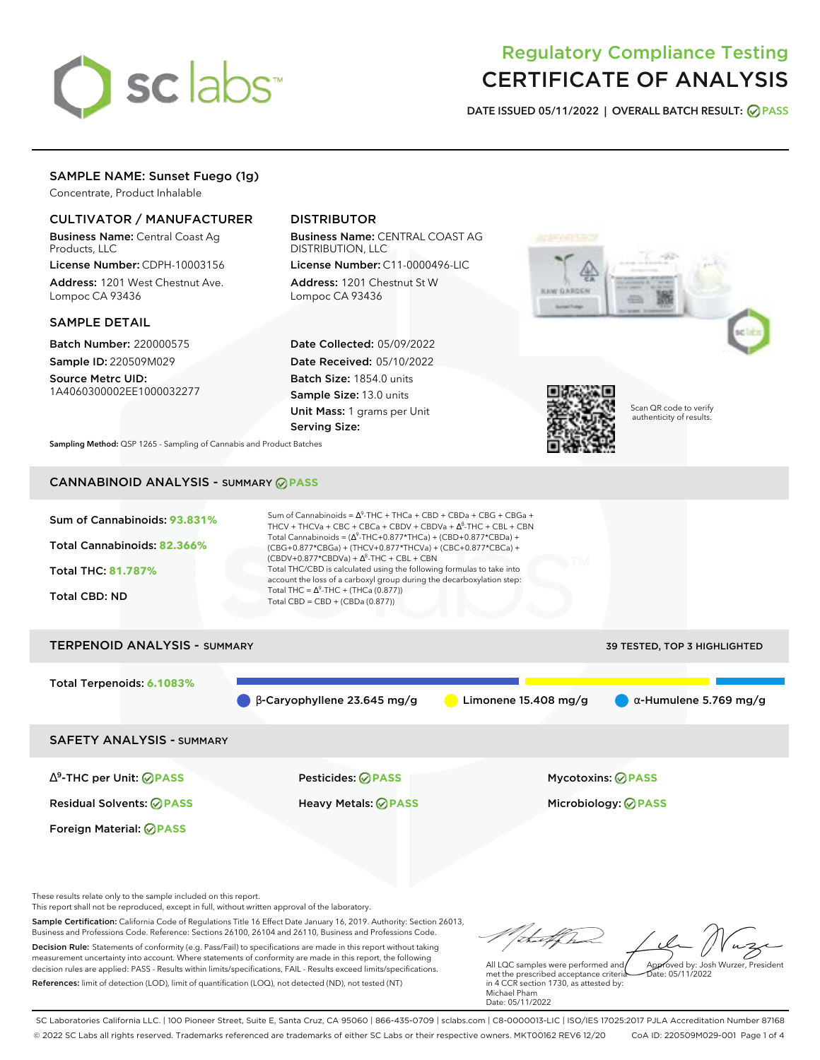# sclabs<sup>\*</sup>

# Regulatory Compliance Testing CERTIFICATE OF ANALYSIS

**DATE ISSUED 05/11/2022 | OVERALL BATCH RESULT: PASS**

## SAMPLE NAME: Sunset Fuego (1g)

Concentrate, Product Inhalable

## CULTIVATOR / MANUFACTURER

Business Name: Central Coast Ag Products, LLC

License Number: CDPH-10003156 Address: 1201 West Chestnut Ave. Lompoc CA 93436

### SAMPLE DETAIL

Batch Number: 220000575 Sample ID: 220509M029

Source Metrc UID: 1A4060300002EE1000032277

# DISTRIBUTOR

Business Name: CENTRAL COAST AG DISTRIBUTION, LLC

License Number: C11-0000496-LIC Address: 1201 Chestnut St W Lompoc CA 93436

Date Collected: 05/09/2022 Date Received: 05/10/2022 Batch Size: 1854.0 units Sample Size: 13.0 units Unit Mass: 1 grams per Unit Serving Size:





Scan QR code to verify authenticity of results.

**Sampling Method:** QSP 1265 - Sampling of Cannabis and Product Batches

# CANNABINOID ANALYSIS - SUMMARY **PASS**



# Total Terpenoids: **6.1083%**  $\bullet$  β-Caryophyllene 23.645 mg/g  $\bullet$  Limonene 15.408 mg/g  $\bullet$  α-Humulene 5.769 mg/g SAFETY ANALYSIS - SUMMARY

∆ 9 -THC per Unit: **PASS** Pesticides: **PASS** Mycotoxins: **PASS**

Foreign Material: **PASS**

Residual Solvents: **PASS** Heavy Metals: **PASS** Microbiology: **PASS**

These results relate only to the sample included on this report.

This report shall not be reproduced, except in full, without written approval of the laboratory.

Sample Certification: California Code of Regulations Title 16 Effect Date January 16, 2019. Authority: Section 26013, Business and Professions Code. Reference: Sections 26100, 26104 and 26110, Business and Professions Code. Decision Rule: Statements of conformity (e.g. Pass/Fail) to specifications are made in this report without taking measurement uncertainty into account. Where statements of conformity are made in this report, the following decision rules are applied: PASS - Results within limits/specifications, FAIL - Results exceed limits/specifications.

References: limit of detection (LOD), limit of quantification (LOQ), not detected (ND), not tested (NT)

Approved by: Josh Wurzer, President

 $hat: 05/11/2022$ 

All LQC samples were performed and met the prescribed acceptance criteria in 4 CCR section 1730, as attested by: Michael Pham Date: 05/11/2022

SC Laboratories California LLC. | 100 Pioneer Street, Suite E, Santa Cruz, CA 95060 | 866-435-0709 | sclabs.com | C8-0000013-LIC | ISO/IES 17025:2017 PJLA Accreditation Number 87168 © 2022 SC Labs all rights reserved. Trademarks referenced are trademarks of either SC Labs or their respective owners. MKT00162 REV6 12/20 CoA ID: 220509M029-001 Page 1 of 4